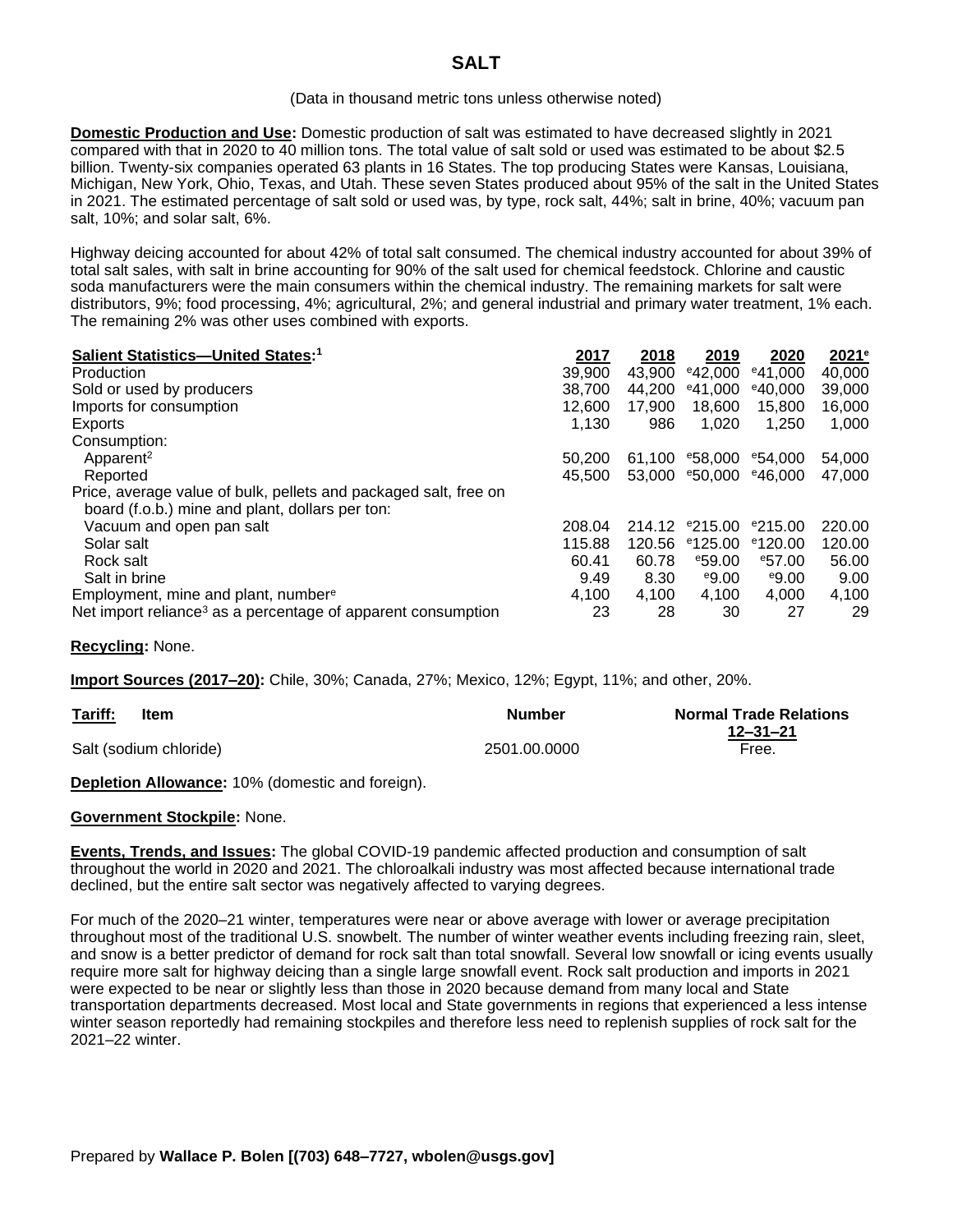#### (Data in thousand metric tons unless otherwise noted)

**Domestic Production and Use:** Domestic production of salt was estimated to have decreased slightly in 2021 compared with that in 2020 to 40 million tons. The total value of salt sold or used was estimated to be about \$2.5 billion. Twenty-six companies operated 63 plants in 16 States. The top producing States were Kansas, Louisiana, Michigan, New York, Ohio, Texas, and Utah. These seven States produced about 95% of the salt in the United States in 2021. The estimated percentage of salt sold or used was, by type, rock salt, 44%; salt in brine, 40%; vacuum pan salt, 10%; and solar salt, 6%.

Highway deicing accounted for about 42% of total salt consumed. The chemical industry accounted for about 39% of total salt sales, with salt in brine accounting for 90% of the salt used for chemical feedstock. Chlorine and caustic soda manufacturers were the main consumers within the chemical industry. The remaining markets for salt were distributors, 9%; food processing, 4%; agricultural, 2%; and general industrial and primary water treatment, 1% each. The remaining 2% was other uses combined with exports.

| Salient Statistics-United States:1                                       | 2017   | 2018   | 2019                | 2020                | 2021 <sup>e</sup> |
|--------------------------------------------------------------------------|--------|--------|---------------------|---------------------|-------------------|
| <b>Production</b>                                                        | 39,900 | 43,900 | $e$ 42,000          | $e$ 41.000          | 40,000            |
| Sold or used by producers                                                | 38,700 | 44.200 | $e$ 41.000          | $e$ 40,000          | 39,000            |
| Imports for consumption                                                  | 12.600 | 17.900 | 18,600              | 15,800              | 16,000            |
| Exports                                                                  | 1.130  | 986    | 1,020               | 1,250               | 1,000             |
| Consumption:                                                             |        |        |                     |                     |                   |
| Apparent <sup>2</sup>                                                    | 50,200 | 61.100 | <sup>e</sup> 58,000 | <sup>e</sup> 54.000 | 54,000            |
| Reported                                                                 | 45.500 | 53,000 | $e$ 50.000          | $e$ 46.000          | 47,000            |
| Price, average value of bulk, pellets and packaged salt, free on         |        |        |                     |                     |                   |
| board (f.o.b.) mine and plant, dollars per ton:                          |        |        |                     |                     |                   |
| Vacuum and open pan salt                                                 | 208.04 | 214.12 | $e$ 215.00          | $e$ 215.00          | 220.00            |
| Solar salt                                                               | 115.88 | 120.56 | $e$ 125.00          | $e$ 120.00          | 120.00            |
| Rock salt                                                                | 60.41  | 60.78  | <sup>e</sup> 59.00  | $e$ 57.00           | 56.00             |
| Salt in brine                                                            | 9.49   | 8.30   | e9.00               | e9.00               | 9.00              |
| Employment, mine and plant, number <sup>e</sup>                          | 4.100  | 4.100  | 4.100               | 4.000               | 4.100             |
| Net import reliance <sup>3</sup> as a percentage of apparent consumption | 23     | 28     | 30                  | 27                  | 29                |

## **Recycling:** None.

**Import Sources (2017–20):** Chile, 30%; Canada, 27%; Mexico, 12%; Egypt, 11%; and other, 20%.

| Tariff:<br>Item        | <b>Number</b> | <b>Normal Trade Relations</b> |
|------------------------|---------------|-------------------------------|
|                        |               | $12 - 31 - 21$                |
| Salt (sodium chloride) | 2501.00.0000  | Free.                         |

**Depletion Allowance:** 10% (domestic and foreign).

## **Government Stockpile:** None.

**Events, Trends, and Issues:** The global COVID-19 pandemic affected production and consumption of salt throughout the world in 2020 and 2021. The chloroalkali industry was most affected because international trade declined, but the entire salt sector was negatively affected to varying degrees.

For much of the 2020–21 winter, temperatures were near or above average with lower or average precipitation throughout most of the traditional U.S. snowbelt. The number of winter weather events including freezing rain, sleet, and snow is a better predictor of demand for rock salt than total snowfall. Several low snowfall or icing events usually require more salt for highway deicing than a single large snowfall event. Rock salt production and imports in 2021 were expected to be near or slightly less than those in 2020 because demand from many local and State transportation departments decreased. Most local and State governments in regions that experienced a less intense winter season reportedly had remaining stockpiles and therefore less need to replenish supplies of rock salt for the 2021–22 winter.